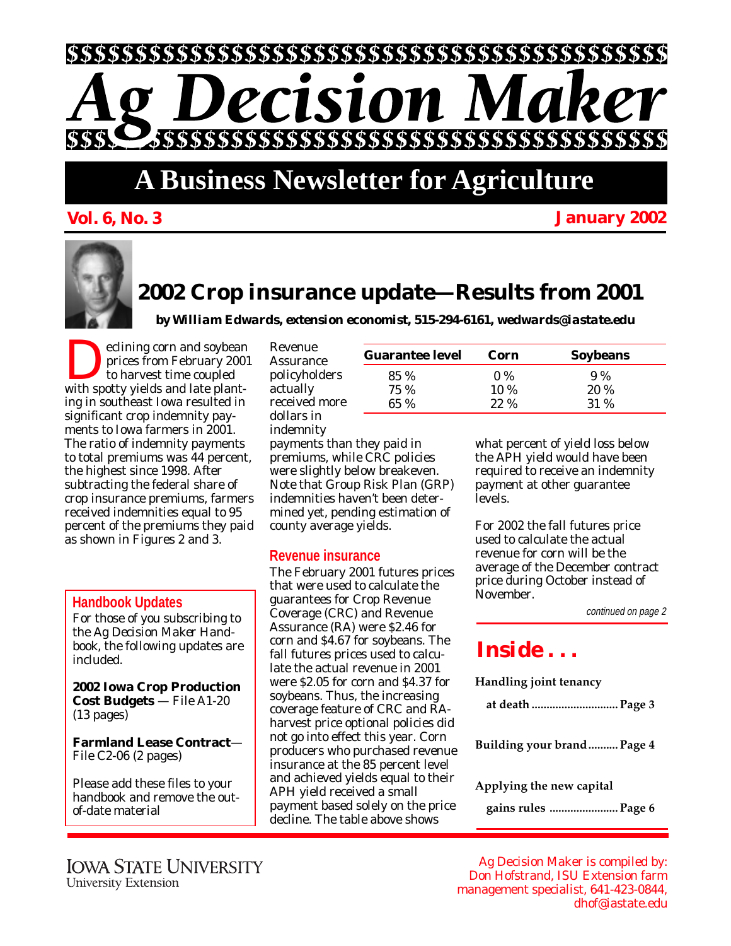

# **A Business Newsletter for Agriculture**

**Vol. 6, No. 3 January 2002**

# **2002 Crop insurance update—Results from 2001**

*by William Edwards, extension economist, 515-294-6161, wedwards@iastate.edu*

eclining corn and soybean prices from February 2001 to harvest time coupled with spotty yields and late planting in southeast Iowa resulted in significant crop indemnity payments to Iowa farmers in 2001. The ratio of indemnity payments to total premiums was 44 percent, the highest since 1998. After subtracting the federal share of crop insurance premiums, farmers received indemnities equal to 95 percent of the premiums they paid as shown in Figures 2 and 3.

#### **Handbook Updates**

For those of you subscribing to the *Ag Decision Maker Handbook*, the following updates are included.

**2002 Iowa Crop Production Cost Budgets** — File A1-20 (13 pages)

**Farmland Lease Contract**— File C2-06 (2 pages)

Please add these files to your handbook and remove the outof-date material

| Revenue       |
|---------------|
| Assurance     |
| policyholders |
| actually      |
| received more |
| dollars in    |
| indemnity     |
| payments thai |

n they paid in premiums, while CRC policies were slightly below breakeven. Note that Group Risk Plan (GRP) indemnities haven't been determined yet, pending estimation of county average yields.

### **Revenue insurance**

The February 2001 futures prices that were used to calculate the guarantees for Crop Revenue Coverage (CRC) and Revenue Assurance (RA) were \$2.46 for corn and \$4.67 for soybeans. The fall futures prices used to calculate the actual revenue in 2001 were \$2.05 for corn and \$4.37 for soybeans. Thus, the increasing coverage feature of CRC and RAharvest price optional policies did not go into effect this year. Corn producers who purchased revenue insurance at the 85 percent level and achieved yields equal to their APH yield received a small payment based solely on the price decline. The table above shows

| <b>Guarantee level</b> | Corn        | <b>Soybeans</b> |  |
|------------------------|-------------|-----------------|--|
| 85 %                   | $0\%$       | 9%              |  |
| 75 %                   | $10\%$      | 20%             |  |
| 65 $%$                 | <b>22 %</b> | 31 %            |  |
|                        |             |                 |  |

what percent of yield loss below the APH yield would have been required to receive an indemnity payment at other guarantee levels.

For 2002 the fall futures price used to calculate the actual revenue for corn will be the average of the December contract price during October instead of November.

continued on page 2

## *Inside . . .*

**Handling joint tenancy**

| at death  Page 3 |  |
|------------------|--|
|------------------|--|

**Building your brand.......... Page 4**

**Applying the new capital**

**gains rules ....................... Page 6**

Ag Decision Maker is compiled by: Don Hofstrand, ISU Extension farm management specialist, 641-423-0844, dhof@iastate.edu